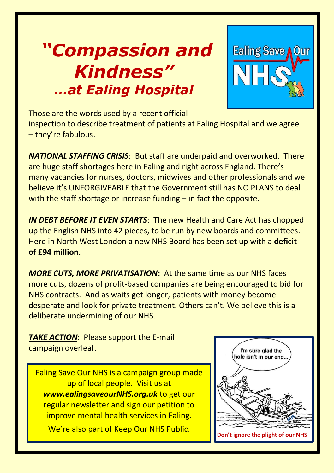# *"Compassion and Kindness" …at Ealing Hospital*



Those are the words used by a recent official inspection to describe treatment of patients at Ealing Hospital and we agree – they're fabulous.

*NATIONAL STAFFING CRISIS*: But staff are underpaid and overworked. There are huge staff shortages here in Ealing and right across England. There's many vacancies for nurses, doctors, midwives and other professionals and we believe it's UNFORGIVEABLE that the Government still has NO PLANS to deal with the staff shortage or increase funding – in fact the opposite.

*IN DEBT BEFORE IT EVEN STARTS*: The new Health and Care Act has chopped up the English NHS into 42 pieces, to be run by new boards and committees. Here in North West London a new NHS Board has been set up with a **deficit of £94 million.** 

*MORE CUTS, MORE PRIVATISATION***:** At the same time as our NHS faces more cuts, dozens of profit-based companies are being encouraged to bid for NHS contracts. And as waits get longer, patients with money become desperate and look for private treatment. Others can't. We believe this is a deliberate undermining of our NHS.

**TAKE ACTION: Please support the E-mail** campaign overleaf.

Ealing Save Our NHS is a campaign group made up of local people. Visit us at *www.ealingsaveourNHS.org.uk* to get our regular newsletter and sign our petition to improve mental health services in Ealing.

We're also part of Keep Our NHS Public.